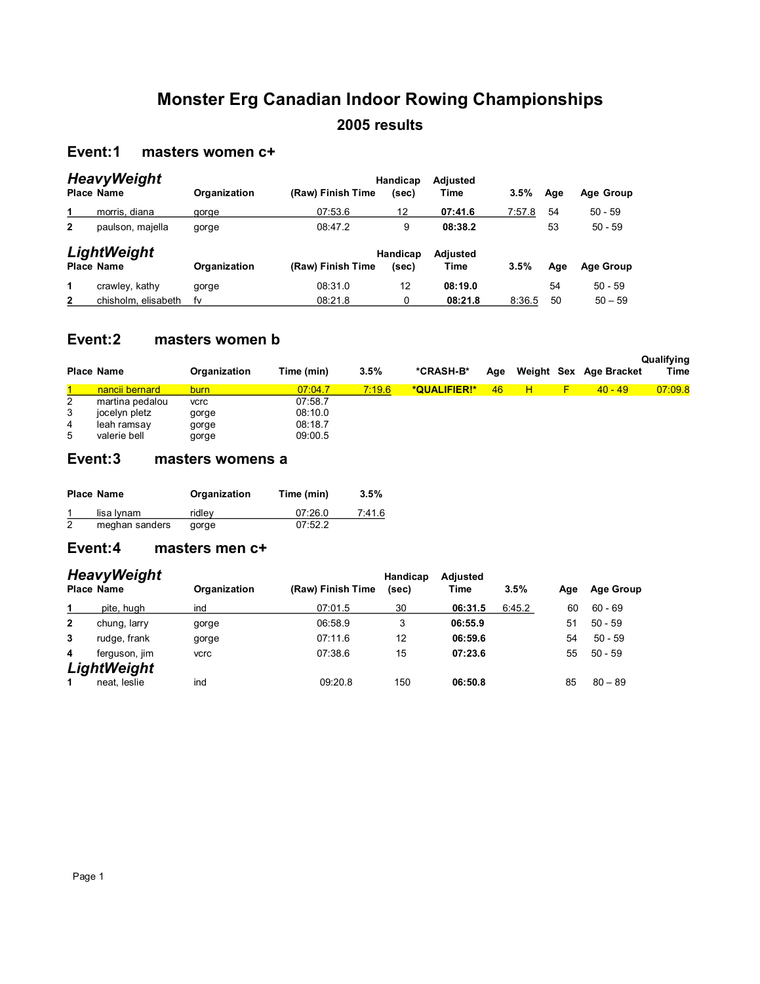## **Monster Erg Canadian Indoor Rowing Championships 2005 results**

## **Event:1 masters women c+**

| <b>HeavyWeight</b><br><b>Place Name</b> |                     | Organization | (Raw) Finish Time | Handicap<br>(sec) | Adjusted<br>Time | $3.5\%$ | Age | Age Group        |
|-----------------------------------------|---------------------|--------------|-------------------|-------------------|------------------|---------|-----|------------------|
| 1                                       | morris, diana       | gorge        | 07:53.6           | 12                | 07:41.6          | 7:57.8  | 54  | $50 - 59$        |
| $\overline{2}$                          | paulson, majella    | gorge        | 08:47.2           | 9                 | 08:38.2          |         | 53  | $50 - 59$        |
|                                         | LightWeight         |              |                   | Handicap          | Adjusted         |         |     |                  |
|                                         | <b>Place Name</b>   | Organization | (Raw) Finish Time | (sec)             | Time             | 3.5%    | Age | <b>Age Group</b> |
| 1                                       | crawley, kathy      | gorge        | 08:31.0           | 12                | 08:19.0          |         | 54  | $50 - 59$        |
| 2                                       | chisholm, elisabeth | fv           | 08:21.8           | 0                 | 08:21.8          | 8:36.5  | 50  | $50 - 59$        |

#### **Event:2 masters women b**

|                  | <b>Place Name</b>                                               | Organization                           | Time (min)                               | 3.5%   | *CRASH-B*    | Age |   | Weight Sex Age Bracket | Qualifying<br>Time |
|------------------|-----------------------------------------------------------------|----------------------------------------|------------------------------------------|--------|--------------|-----|---|------------------------|--------------------|
|                  | nancii bernard                                                  | burn                                   | 07:04.7                                  | 7:19.6 | *QUALIFIER!* | 46  | н | $(40 - 49)$            | 07:09.8            |
| 2<br>3<br>4<br>5 | martina pedalou<br>jocelyn pletz<br>leah ramsay<br>valerie bell | <b>vcrc</b><br>gorge<br>gorge<br>gorge | 07:58.7<br>08:10.0<br>08:18.7<br>09:00.5 |        |              |     |   |                        |                    |

#### **Event:3 masters womens a**

|   | <b>Place Name</b> | Organization | Time (min) | 3.5%   |
|---|-------------------|--------------|------------|--------|
|   | lisa Iynam        | ridlev       | 07:26.0    | 7:41.6 |
| 2 | meghan sanders    | gorge        | 07:52.2    |        |

## **Event:4 masters men c+**

| <b>HeavyWeight</b><br><b>Place Name</b> |               | Organization | (Raw) Finish Time | Handicap<br>(sec) | Adjusted<br>Time | 3.5%   | Age | <b>Age Group</b> |  |
|-----------------------------------------|---------------|--------------|-------------------|-------------------|------------------|--------|-----|------------------|--|
| 1                                       | pite, hugh    | ind          | 07:01.5           | 30                | 06:31.5          | 6:45.2 | 60  | $60 - 69$        |  |
| $\overline{2}$                          | chung, larry  | gorge        | 06:58.9           | 3                 | 06:55.9          |        | 51  | $50 - 59$        |  |
| 3                                       | rudge, frank  | gorge        | 07:11.6           | 12                | 06:59.6          |        | 54  | $50 - 59$        |  |
| 4                                       | ferguson, jim | <b>vcrc</b>  | 07:38.6           | 15                | 07:23.6          |        | 55  | $50 - 59$        |  |
|                                         | LightWeight   |              |                   |                   |                  |        |     |                  |  |
| 1                                       | neat. leslie  | ind          | 09:20.8           | 150               | 06:50.8          |        | 85  | $80 - 89$        |  |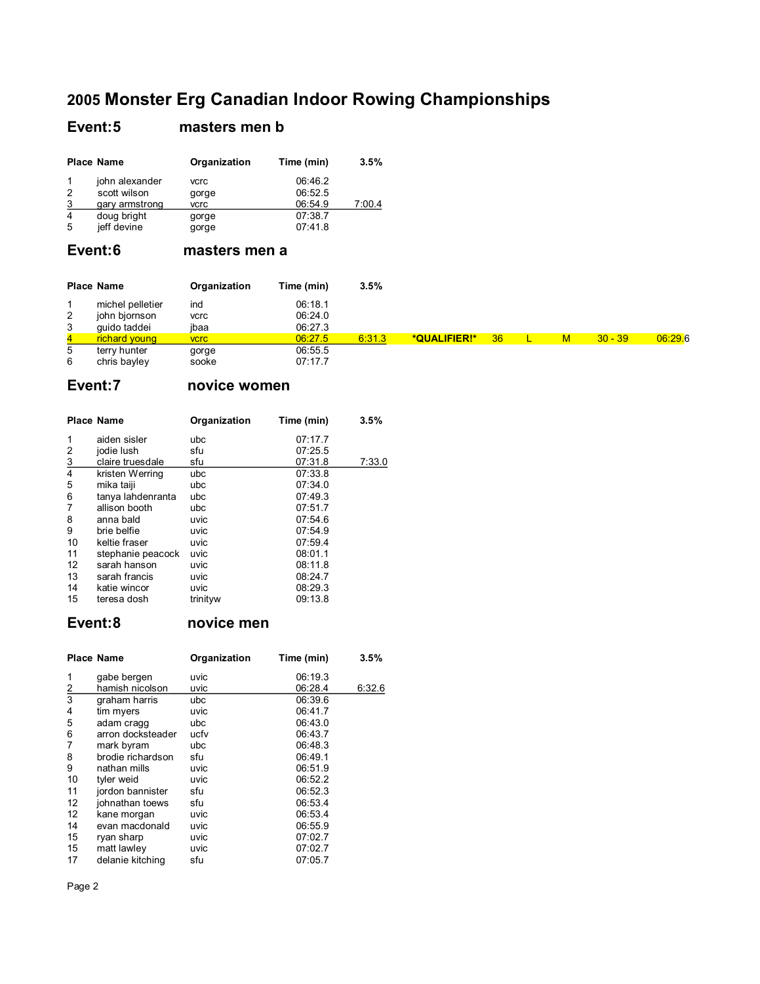#### Event:5 masters men b

|                | <b>Place Name</b> | Organization | Time (min) | 3.5%   |
|----------------|-------------------|--------------|------------|--------|
|                | john alexander    | vcrc         | 06:46.2    |        |
| 2              | scott wilson      | gorge        | 06:52.5    |        |
| 3              | gary armstrong    | vcrc         | 06:54.9    | 7:00.4 |
| $\overline{4}$ | doug bright       | gorge        | 07:38.7    |        |
| 5              | jeff devine       | gorge        | 07:41.8    |        |

## Event:6 masters men a

|                | <b>Place Name</b>                 | Organization       | Time (min)         | 3.5%   |              |    |   |           |         |
|----------------|-----------------------------------|--------------------|--------------------|--------|--------------|----|---|-----------|---------|
| $\overline{2}$ | michel pelletier<br>john bjornson | ind<br><b>vcrc</b> | 06:18.1<br>06:24.0 |        |              |    |   |           |         |
| 3              | quido taddei                      | ibaa               | 06:27.3            |        |              |    |   |           |         |
| $\overline{4}$ | richard young                     | <b>VCrC</b>        | 06:27.5            | 6:31.3 | *QUALIFIER!* | 36 | M | $30 - 39$ | 06:29.6 |
| 5<br>6         | terry hunter<br>chris bayley      | gorge<br>sooke     | 06:55.5<br>07:17.7 |        |              |    |   |           |         |

## Event:7 novice women

|                | <b>Place Name</b> | Organization | Time (min) | 3.5%   |
|----------------|-------------------|--------------|------------|--------|
| 1              | aiden sisler      | ubc          | 07:17.7    |        |
| 2              | jodie lush        | sfu          | 07:25.5    |        |
| $\overline{3}$ | claire truesdale  | sfu          | 07:31.8    | 7:33.0 |
| 4              | kristen Werring   | ubc          | 07:33.8    |        |
| 5              | mika taiji        | ubc          | 07:34.0    |        |
| 6              | tanya lahdenranta | ubc          | 07:49.3    |        |
| 7              | allison booth     | ubc          | 07:51.7    |        |
| 8              | anna bald         | uvic         | 07:54.6    |        |
| 9              | brie belfie       | uvic         | 07:54.9    |        |
| 10             | keltie fraser     | uvic         | 07:59.4    |        |
| 11             | stephanie peacock | uvic         | 08:01.1    |        |
| 12             | sarah hanson      | uvic         | 08:11.8    |        |
| 13             | sarah francis     | uvic         | 08:24.7    |        |
| 14             | katie wincor      | uvic         | 08:29.3    |        |
| 15             | teresa dosh       | trinityw     | 09:13.8    |        |

#### Event:8 novice men

|                | <b>Place Name</b> | Organization | Time (min) | 3.5%   |
|----------------|-------------------|--------------|------------|--------|
| 1              | gabe bergen       | uvic         | 06:19.3    |        |
| $\overline{2}$ | hamish nicolson   | uvic         | 06:28.4    | 6:32.6 |
| 3              | graham harris     | ubc          | 06:39.6    |        |
| 4              | tim myers         | uvic         | 06:41.7    |        |
| 5              | adam cragg        | ubc          | 06:43.0    |        |
| 6              | arron docksteader | ucfv         | 06:43.7    |        |
| 7              | mark byram        | ubc          | 06:48.3    |        |
| 8              | brodie richardson | sfu          | 06:49.1    |        |
| 9              | nathan mills      | uvic         | 06:51.9    |        |
| 10             | tyler weid        | uvic         | 06:52.2    |        |
| 11             | jordon bannister  | sfu          | 06:52.3    |        |
| 12             | johnathan toews   | sfu          | 06:53.4    |        |
| 12             | kane morgan       | uvic         | 06:53.4    |        |
| 14             | evan macdonald    | uvic         | 06:55.9    |        |
| 15             | ryan sharp        | uvic         | 07:02.7    |        |
| 15             | matt lawley       | uvic         | 07:02.7    |        |
| 17             | delanie kitching  | sfu          | 07:05.7    |        |

Page 2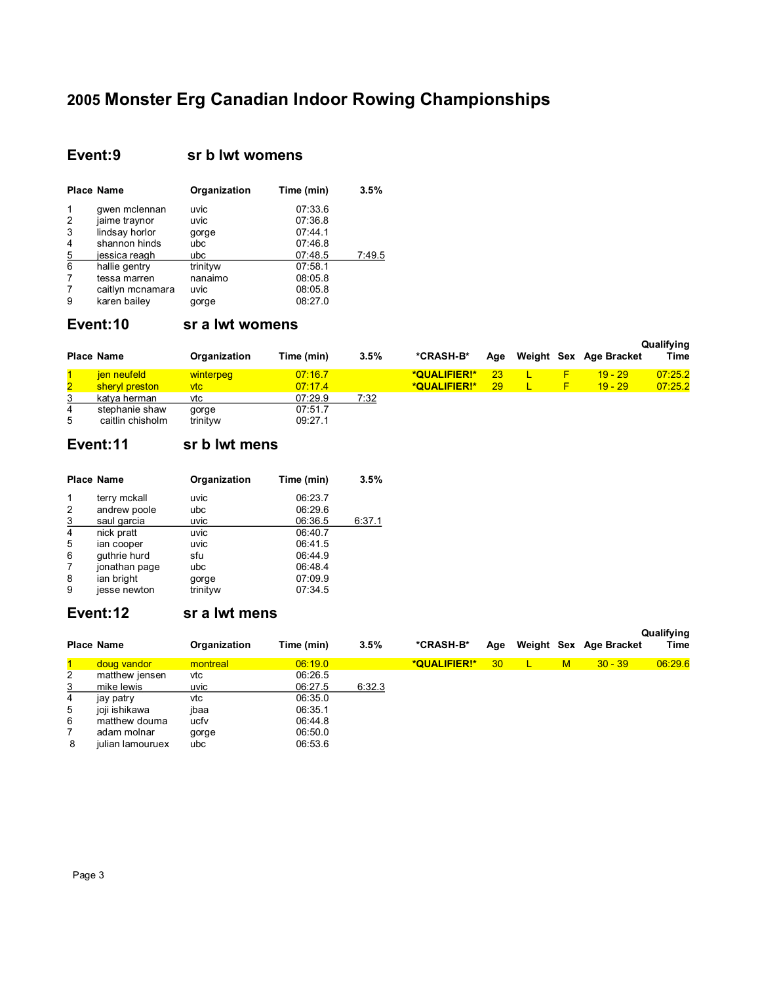## Event:9 sr b lwt womens

|   | <b>Place Name</b> | Organization | Time (min) | 3.5%   |
|---|-------------------|--------------|------------|--------|
| 1 | qwen mclennan     | uvic         | 07:33.6    |        |
| 2 | jaime traynor     | uvic         | 07:36.8    |        |
| 3 | lindsay horlor    | gorge        | 07:44.1    |        |
| 4 | shannon hinds     | ubc          | 07:46.8    |        |
| 5 | jessica reagh     | ubc          | 07:48.5    | 7:49.5 |
| 6 | hallie gentry     | trinityw     | 07:58.1    |        |
| 7 | tessa marren      | nanaimo      | 08:05.8    |        |
| 7 | caitlyn mcnamara  | uvic         | 08:05.8    |        |
| 9 | karen bailey      | gorge        | 08:27.0    |        |

## Event:10 sr a lwt womens

|              | <b>Place Name</b> | Organization | Time (min) | 3.5% | *CRASH-B*    | Aae |    | Weight Sex Age Bracket | Qualifying<br>Time |
|--------------|-------------------|--------------|------------|------|--------------|-----|----|------------------------|--------------------|
|              | jen neufeld       | winterpeg    | 07:16.7    |      | *QUALIFIER!* | 23  |    | $19 - 29$              | 07:25.2            |
| $\mathbf{2}$ | sheryl preston    | ∨tc⊹         | 07:17.4    |      | *QUALIFIER!* | 29  | F. | $19 - 29$              | 07:25.2            |
| 3            | katva herman      | vtc          | 07:29.9    | 7:32 |              |     |    |                        |                    |
| 4            | stephanie shaw    | gorge        | 07:51.7    |      |              |     |    |                        |                    |
| 5            | caitlin chisholm  | trinityw     | 09:27.1    |      |              |     |    |                        |                    |

### Event:11 sr b lwt mens

|                | <b>Place Name</b> | Organization | Time (min) | 3.5%   |
|----------------|-------------------|--------------|------------|--------|
| 1              | terry mckall      | uvic         | 06:23.7    |        |
| 2              | andrew poole      | ubc          | 06:29.6    |        |
| $\overline{3}$ | saul garcia       | uvic         | 06:36.5    | 6:37.1 |
| $\overline{4}$ | nick pratt        | uvic         | 06:40.7    |        |
| 5              | ian cooper        | uvic         | 06:41.5    |        |
| 6              | quthrie hurd      | sfu          | 06:44.9    |        |
| 7              | jonathan page     | ubc          | 06:48.4    |        |
| 8              | ian bright        | gorge        | 07:09.9    |        |
| 9              | jesse newton      | trinityw     | 07:34.5    |        |

#### Event:12 sr a lwt mens

|                | <b>Place Name</b> | Organization | Time (min) | 3.5%   | *CRASH-B*    | Age |   | Weight Sex Age Bracket | Qualifying<br>Time |
|----------------|-------------------|--------------|------------|--------|--------------|-----|---|------------------------|--------------------|
|                | doug vandor       | montreal     | 06:19.0    |        | *QUALIFIER!* | 30  | M | $30 - 39$              | 06:29.6            |
| $\overline{2}$ | matthew jensen    | vtc          | 06:26.5    |        |              |     |   |                        |                    |
| 3              | mike lewis        | uvic         | 06:27.5    | 6:32.3 |              |     |   |                        |                    |
| 4              | jay patry         | vtc          | 06:35.0    |        |              |     |   |                        |                    |
| 5              | joji ishikawa     | ibaa         | 06:35.1    |        |              |     |   |                        |                    |
| 6              | matthew douma     | ucfv         | 06:44.8    |        |              |     |   |                        |                    |
|                | adam molnar       | gorge        | 06:50.0    |        |              |     |   |                        |                    |
| 8              | julian lamouruex  | ubc          | 06:53.6    |        |              |     |   |                        |                    |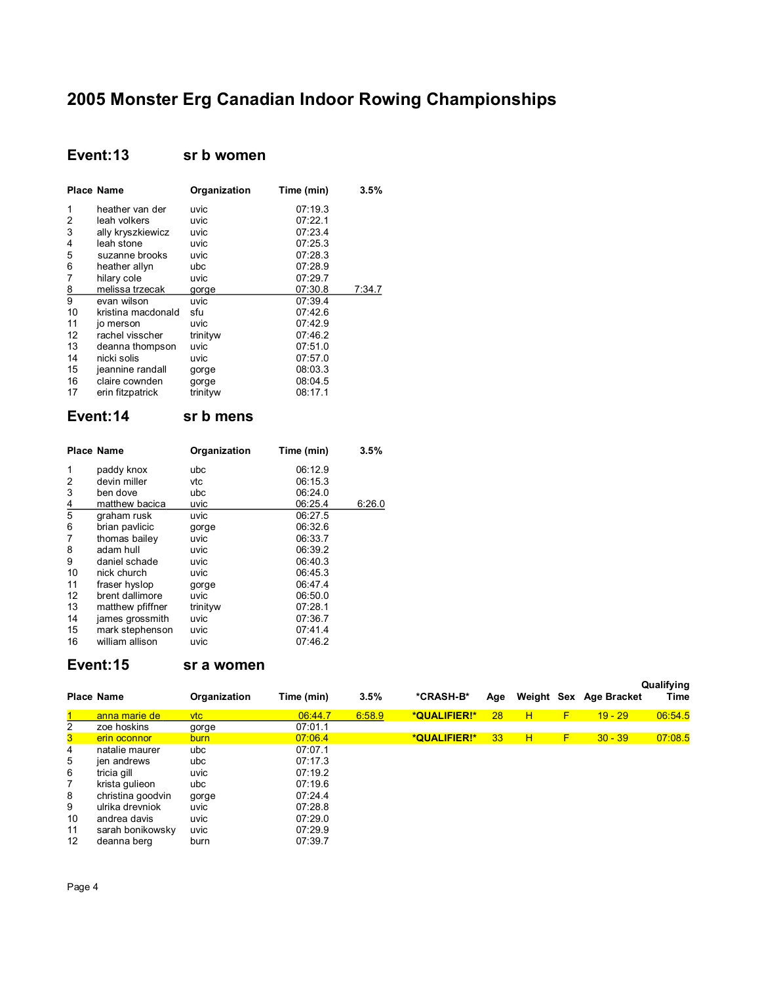## **Event:13 sr b women**

|                | <b>Place Name</b>  | Organization | Time (min) | 3.5%   |
|----------------|--------------------|--------------|------------|--------|
| 1              | heather van der    | uvic         | 07:19.3    |        |
| 2              | leah volkers       | uvic         | 07:22.1    |        |
| 3              | ally kryszkiewicz  | uvic         | 07:23.4    |        |
| 4              | leah stone         | uvic         | 07:25.3    |        |
| 5              | suzanne brooks     | uvic         | 07:28.3    |        |
| 6              | heather allyn      | ubc          | 07:28.9    |        |
| 7              | hilary cole        | uvic         | 07:29.7    |        |
| $\overline{8}$ | melissa trzecak    | gorge        | 07:30.8    | 7:34.7 |
| 9              | evan wilson        | uvic         | 07:39.4    |        |
| 10             | kristina macdonald | sfu          | 07:42.6    |        |
| 11             | jo merson          | uvic         | 07:42.9    |        |
| 12             | rachel visscher    | trinityw     | 07:46.2    |        |
| 13             | deanna thompson    | uvic         | 07:51.0    |        |
| 14             | nicki solis        | uvic         | 07:57.0    |        |
| 15             | jeannine randall   | gorge        | 08:03.3    |        |
| 16             | claire cownden     | gorge        | 08:04.5    |        |
| 17             | erin fitzpatrick   | trinityw     | 08:17.1    |        |

#### **Event:14 sr b mens**

|                | <b>Place Name</b> | Organization | Time (min) | 3.5%   |
|----------------|-------------------|--------------|------------|--------|
| 1              | paddy knox        | ubc          | 06:12.9    |        |
| 2              | devin miller      | vtc          | 06:15.3    |        |
| 3              | ben dove          | ubc          | 06:24.0    |        |
| $\overline{4}$ | matthew bacica    | uvic         | 06:25.4    | 6:26.0 |
| 5              | graham rusk       | uvic         | 06:27.5    |        |
| 6              | brian pavlicic    | gorge        | 06:32.6    |        |
| 7              | thomas bailey     | uvic         | 06:33.7    |        |
| 8              | adam hull         | uvic         | 06:39.2    |        |
| 9              | daniel schade     | uvic         | 06:40.3    |        |
| 10             | nick church       | uvic         | 06:45.3    |        |
| 11             | fraser hyslop     | gorge        | 06:47.4    |        |
| 12             | brent dallimore   | uvic         | 06:50.0    |        |
| 13             | matthew pfiffner  | trinityw     | 07:28.1    |        |
| 14             | james grossmith   | uvic         | 07:36.7    |        |
| 15             | mark stephenson   | uvic         | 07:41.4    |        |
| 16             | william allison   | uvic         | 07:46.2    |        |

## **Event:15 sr a women**

|                   | <b>Place Name</b> | Organization | Time (min) | 3.5%   | *CRASH-B*    | Age             | Weight Sex |   | Age Bracket | Qualifying<br>Time |
|-------------------|-------------------|--------------|------------|--------|--------------|-----------------|------------|---|-------------|--------------------|
|                   | anna marie de     | <u>vtc</u>   | 06:44.7    | 6:58.9 | *QUALIFIER!* | 28              | н          | F | $19 - 29$   | 06:54.5            |
| 2                 | zoe hoskins       | gorge        | 07:01.1    |        |              |                 |            |   |             |                    |
| 3                 | erin oconnor      | burn         | 07:06.4    |        | *QUALIFIER!* | 33 <sub>o</sub> | H          | F | $30 - 39$   | 07:08.5            |
| 4                 | natalie maurer    | ubc          | 07:07.1    |        |              |                 |            |   |             |                    |
| 5                 | jen andrews       | ubc          | 07:17.3    |        |              |                 |            |   |             |                    |
| 6                 | tricia gill       | uvic         | 07:19.2    |        |              |                 |            |   |             |                    |
| 7                 | krista gulieon    | ubc          | 07:19.6    |        |              |                 |            |   |             |                    |
| 8                 | christina goodvin | gorge        | 07:24.4    |        |              |                 |            |   |             |                    |
| 9                 | ulrika drevniok   | uvic         | 07:28.8    |        |              |                 |            |   |             |                    |
| 10                | andrea davis      | uvic         | 07:29.0    |        |              |                 |            |   |             |                    |
| 11                | sarah bonikowsky  | uvic         | 07:29.9    |        |              |                 |            |   |             |                    |
| $12 \overline{ }$ | deanna berg       | burn         | 07:39.7    |        |              |                 |            |   |             |                    |

Page 4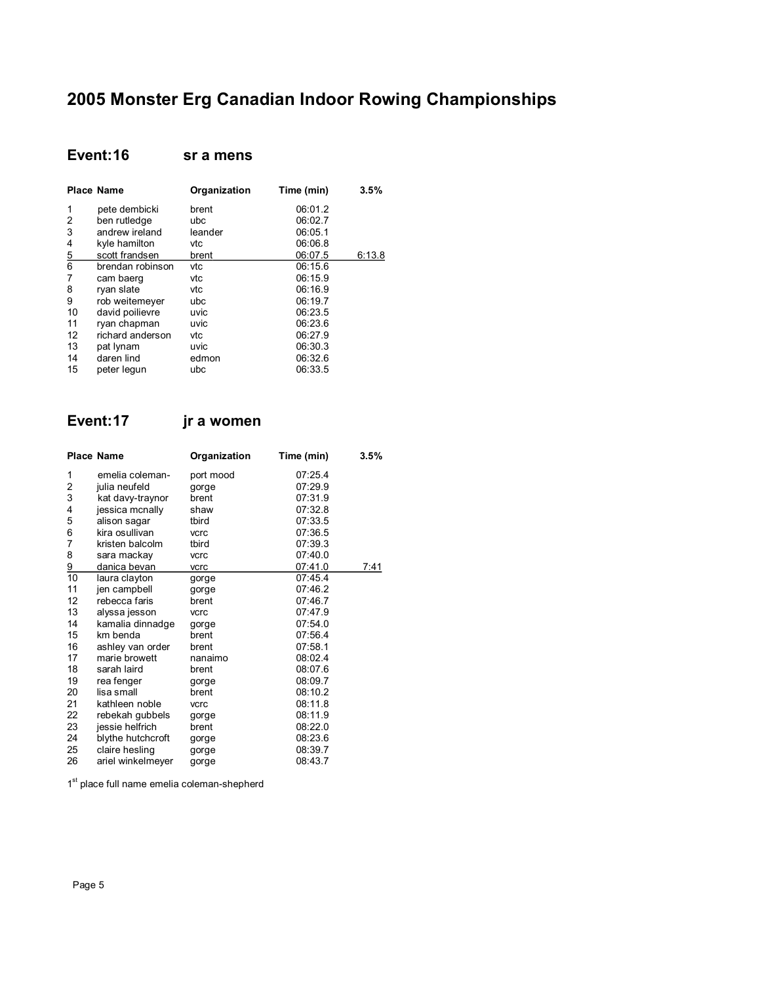#### **Event:16 sr a mens**

|                | <b>Place Name</b> | Organization | Time (min) | 3.5%   |
|----------------|-------------------|--------------|------------|--------|
| 1              | pete dembicki     | brent        | 06:01.2    |        |
| 2              | ben rutledge      | ubc          | 06:02.7    |        |
| 3              | andrew ireland    | leander      | 06:05.1    |        |
| 4              | kyle hamilton     | vtc          | 06:06.8    |        |
| $\overline{5}$ | scott frandsen    | brent        | 06:07.5    | 6:13.8 |
| 6              | brendan robinson  | vtc          | 06:15.6    |        |
| 7              | cam baerg         | vtc          | 06:15.9    |        |
| 8              | ryan slate        | vtc          | 06:16.9    |        |
| 9              | rob weitemeyer    | ubc          | 06:19.7    |        |
| 10             | david poilievre   | uvic         | 06:23.5    |        |
| 11             | ryan chapman      | uvic         | 06:23.6    |        |
| 12             | richard anderson  | vtc          | 06:27.9    |        |
| 13             | pat lynam         | uvic         | 06:30.3    |        |
| 14             | daren lind        | edmon        | 06:32.6    |        |
| 15             | peter legun       | ubc          | 06:33.5    |        |

## **Event:17 jr a women**

|                | <b>Place Name</b> | Organization | Time (min) | 3.5% |
|----------------|-------------------|--------------|------------|------|
| 1              | emelia coleman-   | port mood    | 07:25.4    |      |
| 2              | julia neufeld     | gorge        | 07:29.9    |      |
| 3              | kat davy-traynor  | brent        | 07:31.9    |      |
| 4              | jessica mcnally   | shaw         | 07:32.8    |      |
| 5              | alison sagar      | tbird        | 07:33.5    |      |
| 6              | kira osullivan    | vcrc         | 07:36.5    |      |
| 7              | kristen balcolm   | tbird        | 07:39.3    |      |
| 8              | sara mackay       | vcrc         | 07:40.0    |      |
| $\frac{9}{10}$ | danica bevan      | vcrc         | 07:41.0    | 7:41 |
|                | laura clayton     | gorge        | 07:45.4    |      |
| 11             | jen campbell      | gorge        | 07:46.2    |      |
| 12             | rebecca faris     | brent        | 07:46.7    |      |
| 13             | alyssa jesson     | vcrc         | 07:47.9    |      |
| 14             | kamalia dinnadge  | gorge        | 07:54.0    |      |
| 15             | km benda          | brent        | 07:56.4    |      |
| 16             | ashley van order  | brent        | 07:58.1    |      |
| 17             | marie browett     | nanaimo      | 08:02.4    |      |
| 18             | sarah laird       | brent        | 08:07.6    |      |
| 19             | rea fenger        | gorge        | 08:09.7    |      |
| 20             | lisa small        | brent        | 08:10.2    |      |
| 21             | kathleen noble    | vcrc         | 08:11.8    |      |
| 22             | rebekah gubbels   | gorge        | 08:11.9    |      |
| 23             | jessie helfrich   | brent        | 08:22.0    |      |
| 24             | blythe hutchcroft | gorge        | 08:23.6    |      |
| 25             | claire hesling    | gorge        | 08:39.7    |      |
| 26             | ariel winkelmeyer | gorge        | 08:43.7    |      |

1<sup>st</sup> place full name emelia coleman-shepherd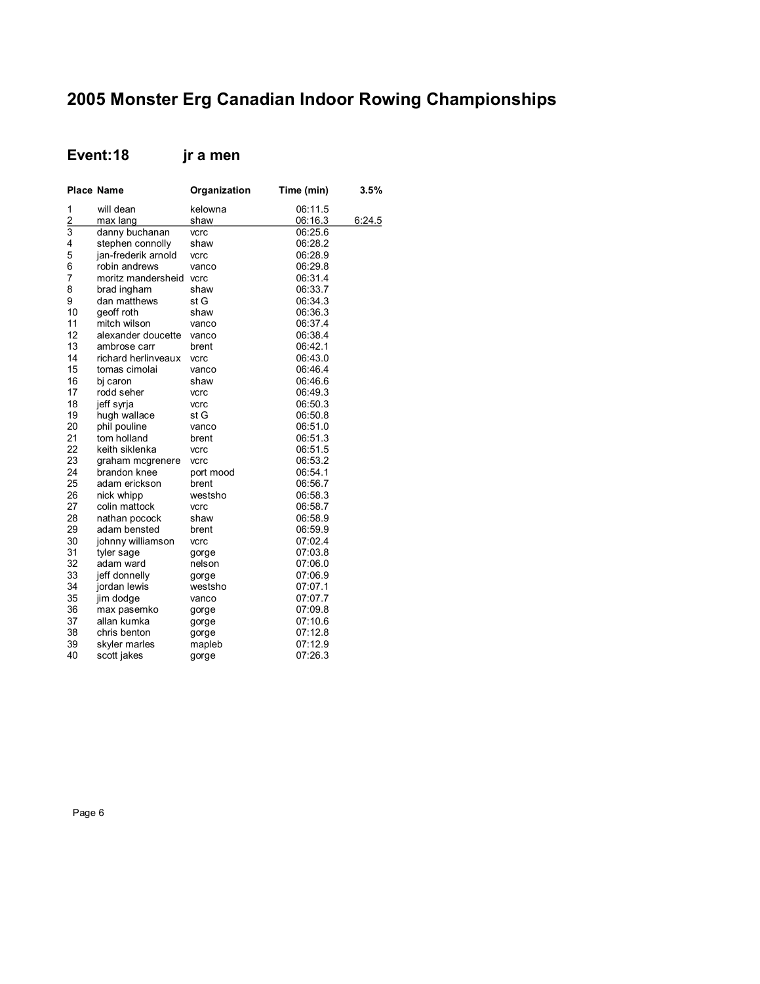## **Event:18 jr a men**

|                | <b>Place Name</b>   | Organization | Time (min) | 3.5%   |
|----------------|---------------------|--------------|------------|--------|
| 1              | will dean           | kelowna      | 06:11.5    |        |
| $\frac{2}{3}$  | max lang            | shaw         | 06:16.3    | 6:24.5 |
|                | danny buchanan      | vcrc         | 06:25.6    |        |
| 4              | stephen connolly    | shaw         | 06:28.2    |        |
| 5              | jan-frederik arnold | vcrc         | 06:28.9    |        |
| 6              | robin andrews       | vanco        | 06:29.8    |        |
| $\overline{7}$ | moritz mandersheid  | vcrc         | 06:31.4    |        |
| 8              | brad ingham         | shaw         | 06:33.7    |        |
| 9              | dan matthews        | st G         | 06:34.3    |        |
| 10             | geoff roth          | shaw         | 06:36.3    |        |
| 11             | mitch wilson        | vanco        | 06:37.4    |        |
| 12             | alexander doucette  | vanco        | 06:38.4    |        |
| 13             | ambrose carr        | brent        | 06:42.1    |        |
| 14             | richard herlinveaux | vcrc         | 06:43.0    |        |
| 15             | tomas cimolai       | vanco        | 06:46.4    |        |
| 16             | bj caron            | shaw         | 06:46.6    |        |
| 17             | rodd seher          | vcrc         | 06:49.3    |        |
| 18             | jeff syrja          | vcrc         | 06:50.3    |        |
| 19             | hugh wallace        | st G         | 06:50.8    |        |
| 20             | phil pouline        | vanco        | 06:51.0    |        |
| 21             | tom holland         | brent        | 06:51.3    |        |
| 22             | keith siklenka      | vcrc         | 06:51.5    |        |
| 23             | graham mcgrenere    | vcrc         | 06:53.2    |        |
| 24             | brandon knee        | port mood    | 06:54.1    |        |
| 25             | adam erickson       | brent        | 06:56.7    |        |
| 26             | nick whipp          | westsho      | 06:58.3    |        |
| 27             | colin mattock       | vcrc         | 06:58.7    |        |
| 28             | nathan pocock       | shaw         | 06:58.9    |        |
| 29             | adam bensted        | brent        | 06:59.9    |        |
| 30             | johnny williamson   | vcrc         | 07:02.4    |        |
| 31             | tyler sage          | gorge        | 07:03.8    |        |
| 32             | adam ward           | nelson       | 07:06.0    |        |
| 33             | jeff donnelly       | gorge        | 07:06.9    |        |
| 34             | jordan lewis        | westsho      | 07:07.1    |        |
| 35             | jim dodge           | vanco        | 07:07.7    |        |
| 36             | max pasemko         | gorge        | 07:09.8    |        |
| 37             | allan kumka         | gorge        | 07:10.6    |        |
| 38             | chris benton        | gorge        | 07:12.8    |        |
| 39             | skyler marles       | mapleb       | 07:12.9    |        |
| 40             | scott jakes         | gorge        | 07:26.3    |        |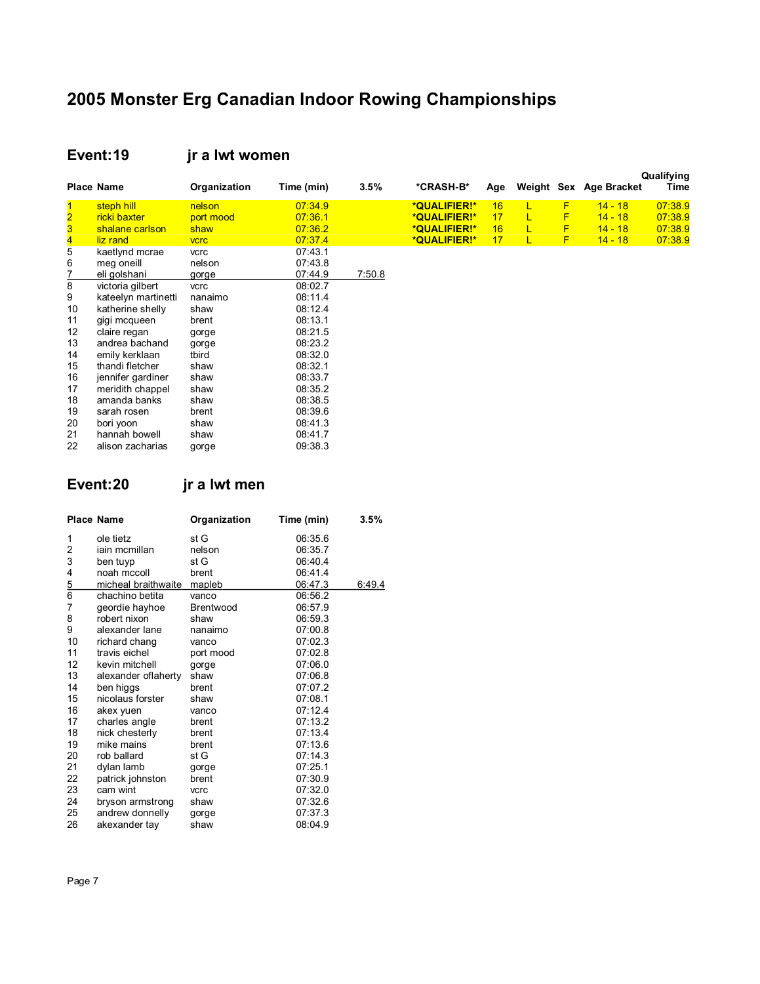#### **Event:19 jr a lwt women**

|    | <b>Place Name</b>   | Organization | Time (min) | 3.5%   | *CRASH-B*    | Age |   |   | Weight Sex Age Bracket | Qualifying<br>Time |
|----|---------------------|--------------|------------|--------|--------------|-----|---|---|------------------------|--------------------|
|    | steph hill          | nelson       | 07:34.9    |        | *QUALIFIER!* | 16  |   | F | $14 - 18$              | 07:38.9            |
| 2  | ricki baxter        | port mood    | 07:36.1    |        | *QUALIFIER!* | 17  | L | F | $14 - 18$              | 07:38.9            |
|    | shalane carlson     | shaw         | 07:36.2    |        | *QUALIFIER!* | 16  | L | F | $14 - 18$              | 07:38.9            |
|    | liz rand            | <b>VCrC</b>  | 07:37.4    |        | *QUALIFIER!* | 17  | L | F | $14 - 18$              | 07:38.9            |
| 5  | kaetlynd mcrae      | vcrc         | 07:43.1    |        |              |     |   |   |                        |                    |
| 6  | meg oneill          | nelson       | 07:43.8    |        |              |     |   |   |                        |                    |
|    | eli golshani        | gorge        | 07:44.9    | 7:50.8 |              |     |   |   |                        |                    |
| 8  | victoria gilbert    | vcrc         | 08:02.7    |        |              |     |   |   |                        |                    |
| 9  | kateelyn martinetti | nanaimo      | 08:11.4    |        |              |     |   |   |                        |                    |
| 10 | katherine shelly    | shaw         | 08:12.4    |        |              |     |   |   |                        |                    |
| 11 | gigi mcqueen        | brent        | 08:13.1    |        |              |     |   |   |                        |                    |
| 12 | claire regan        | gorge        | 08:21.5    |        |              |     |   |   |                        |                    |
| 13 | andrea bachand      | gorge        | 08:23.2    |        |              |     |   |   |                        |                    |
| 14 | emily kerklaan      | tbird        | 08:32.0    |        |              |     |   |   |                        |                    |
| 15 | thandi fletcher     | shaw         | 08:32.1    |        |              |     |   |   |                        |                    |
| 16 | jennifer gardiner   | shaw         | 08:33.7    |        |              |     |   |   |                        |                    |
| 17 | meridith chappel    | shaw         | 08:35.2    |        |              |     |   |   |                        |                    |
| 18 | amanda banks        | shaw         | 08:38.5    |        |              |     |   |   |                        |                    |
| 19 | sarah rosen         | brent        | 08:39.6    |        |              |     |   |   |                        |                    |
| 20 | bori yoon           | shaw         | 08:41.3    |        |              |     |   |   |                        |                    |
| 21 | hannah bowell       | shaw         | 08:41.7    |        |              |     |   |   |                        |                    |
| 22 | alison zacharias    | gorge        | 09:38.3    |        |              |     |   |   |                        |                    |

**Event:20 jr a lwt men**

|               | <b>Place Name</b>   | Organization     | Time (min) | 3.5%   |
|---------------|---------------------|------------------|------------|--------|
| 1             | ole tietz           | st G             | 06:35.6    |        |
| 2             | iain mcmillan       | nelson           | 06:35.7    |        |
| 3             | ben tuyp            | st G             | 06:40.4    |        |
| 4             | noah mccoll         | brent            | 06:41.4    |        |
| $\frac{5}{6}$ | micheal braithwaite | mapleb           | 06:47.3    | 6:49.4 |
|               | chachino betita     | vanco            | 06:56.2    |        |
| 7             | geordie hayhoe      | <b>Brentwood</b> | 06:57.9    |        |
| 8             | robert nixon        | shaw             | 06:59.3    |        |
| 9             | alexander lane      | nanaimo          | 07:00.8    |        |
| 10            | richard chang       | vanco            | 07:02.3    |        |
| 11            | travis eichel       | port mood        | 07:02.8    |        |
| 12            | kevin mitchell      | gorge            | 07:06.0    |        |
| 13            | alexander oflaherty | shaw             | 07:06.8    |        |
| 14            | ben higgs           | brent            | 07:07.2    |        |
| 15            | nicolaus forster    | shaw             | 07:08.1    |        |
| 16            | akex yuen           | vanco            | 07:12.4    |        |
| 17            | charles angle       | brent            | 07:13.2    |        |
| 18            | nick chesterly      | brent            | 07:13.4    |        |
| 19            | mike mains          | brent            | 07:13.6    |        |
| 20            | rob ballard         | st G             | 07:14.3    |        |
| 21            | dylan lamb          | gorge            | 07:25.1    |        |
| 22            | patrick johnston    | brent            | 07:30.9    |        |
| 23            | cam wint            | vcrc             | 07:32.0    |        |
| 24            | bryson armstrong    | shaw             | 07:32.6    |        |
| 25            | andrew donnelly     | gorge            | 07:37.3    |        |
| 26            | akexander tay       | shaw             | 08:04.9    |        |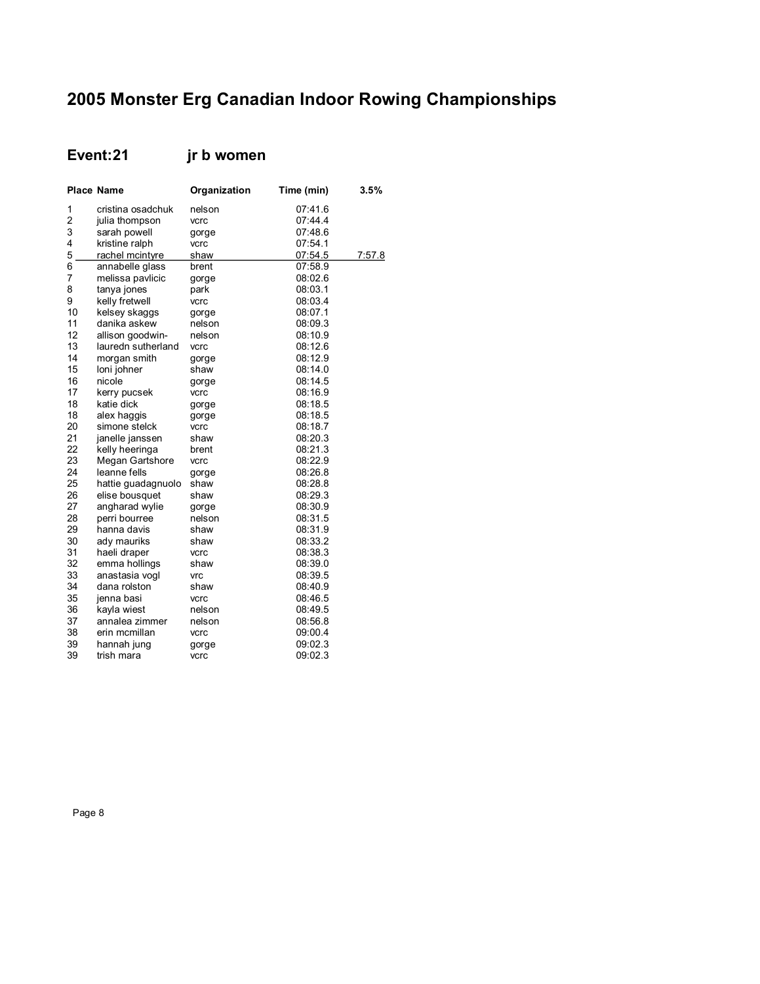## **Event:21 jr b women**

|    | <b>Place Name</b>  | Organization | Time (min) | 3.5%   |
|----|--------------------|--------------|------------|--------|
| 1  | cristina osadchuk  | nelson       | 07:41.6    |        |
| 2  | julia thompson     | vcrc         | 07:44.4    |        |
| 3  | sarah powell       | gorge        | 07:48.6    |        |
| 4  | kristine ralph     | vcrc         | 07:54.1    |        |
| 5  | rachel mcintyre    | shaw         | 07:54.5    | 7:57.8 |
| 6  | annabelle glass    | brent        | 07:58.9    |        |
| 7  | melissa pavlicic   | gorge        | 08:02.6    |        |
| 8  | tanya jones        | park         | 08:03.1    |        |
| 9  | kelly fretwell     | vcrc         | 08:03.4    |        |
| 10 | kelsey skaggs      | gorge        | 08:07.1    |        |
| 11 | danika askew       | nelson       | 08:09.3    |        |
| 12 | allison goodwin-   | nelson       | 08:10.9    |        |
| 13 | lauredn sutherland | vcrc         | 08:12.6    |        |
| 14 | morgan smith       | gorge        | 08:12.9    |        |
| 15 | loni johner        | shaw         | 08:14.0    |        |
| 16 | nicole             | gorge        | 08:14.5    |        |
| 17 | kerry pucsek       | vcrc         | 08:16.9    |        |
| 18 | katie dick         | gorge        | 08:18.5    |        |
| 18 | alex haggis        | gorge        | 08:18.5    |        |
| 20 | simone stelck      | vcrc         | 08:18.7    |        |
| 21 | janelle janssen    | shaw         | 08:20.3    |        |
| 22 | kelly heeringa     | brent        | 08:21.3    |        |
| 23 | Megan Gartshore    | vcrc         | 08:22.9    |        |
| 24 | leanne fells       | gorge        | 08:26.8    |        |
| 25 | hattie guadagnuolo | shaw         | 08:28.8    |        |
| 26 | elise bousquet     | shaw         | 08:29.3    |        |
| 27 | angharad wylie     | gorge        | 08:30.9    |        |
| 28 | perri bourree      | nelson       | 08:31.5    |        |
| 29 | hanna davis        | shaw         | 08:31.9    |        |
| 30 | ady mauriks        | shaw         | 08:33.2    |        |
| 31 | haeli draper       | vcrc         | 08:38.3    |        |
| 32 | emma hollings      | shaw         | 08:39.0    |        |
| 33 | anastasia vogl     | <b>Vrc</b>   | 08:39.5    |        |
| 34 | dana rolston       | shaw         | 08:40.9    |        |
| 35 | jenna basi         | vcrc         | 08:46.5    |        |
| 36 | kayla wiest        | nelson       | 08:49.5    |        |
| 37 | annalea zimmer     | nelson       | 08:56.8    |        |
| 38 | erin mcmillan      | vcrc         | 09:00.4    |        |
| 39 | hannah jung        | gorge        | 09:02.3    |        |
| 39 | trish mara         | vcrc         | 09:02.3    |        |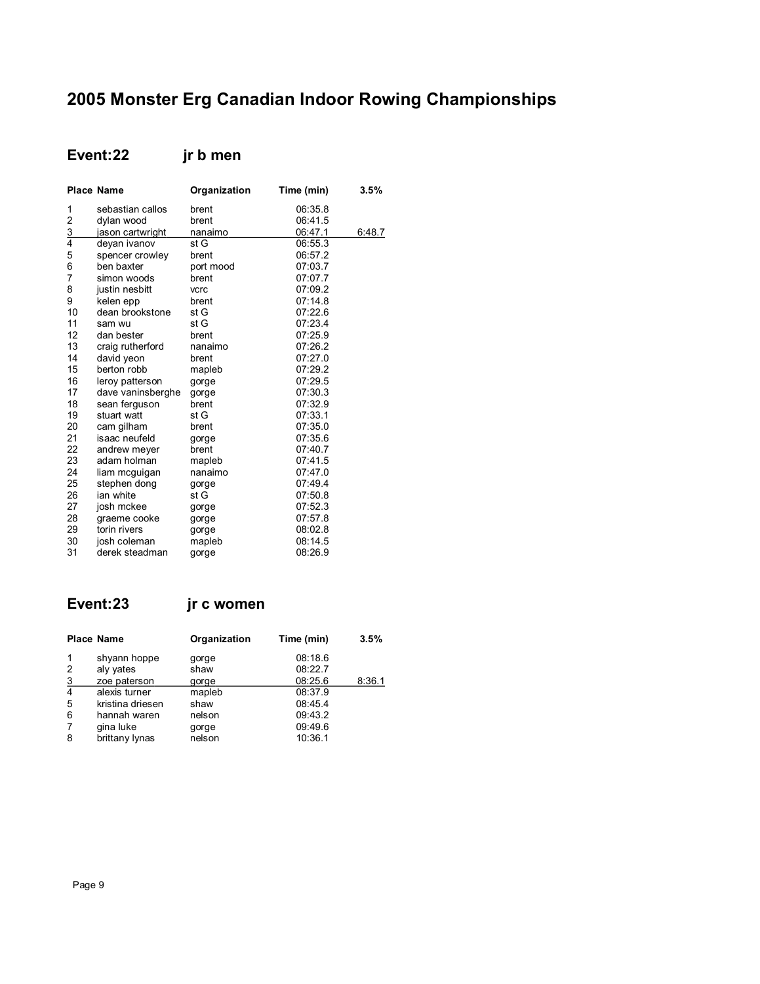## Event:22 jr b men

|               | <b>Place Name</b> | Organization | Time (min) | 3.5%   |
|---------------|-------------------|--------------|------------|--------|
| 1             | sebastian callos  | brent        | 06:35.8    |        |
| 2             | dylan wood        | brent        | 06:41.5    |        |
| $\frac{3}{4}$ | jason cartwright  | nanaimo      | 06:47.1    | 6:48.7 |
|               | deyan ivanov      | st G         | 06:55.3    |        |
| 5             | spencer crowley   | brent        | 06:57.2    |        |
| 6             | ben baxter        | port mood    | 07:03.7    |        |
| 7             | simon woods       | brent        | 07:07.7    |        |
| 8             | justin nesbitt    | vcrc         | 07:09.2    |        |
| 9             | kelen epp         | brent        | 07:14.8    |        |
| 10            | dean brookstone   | st G         | 07:22.6    |        |
| 11            | sam wu            | st G         | 07:23.4    |        |
| 12            | dan bester        | brent        | 07:25.9    |        |
| 13            | craig rutherford  | nanaimo      | 07:26.2    |        |
| 14            | david yeon        | brent        | 07:27.0    |        |
| 15            | berton robb       | mapleb       | 07:29.2    |        |
| 16            | leroy patterson   | gorge        | 07:29.5    |        |
| 17            | dave vaninsberghe | gorge        | 07:30.3    |        |
| 18            | sean ferguson     | brent        | 07:32.9    |        |
| 19            | stuart watt       | st G         | 07:33.1    |        |
| 20            | cam gilham        | brent        | 07:35.0    |        |
| 21            | isaac neufeld     | gorge        | 07:35.6    |        |
| 22            | andrew meyer      | brent        | 07:40.7    |        |
| 23            | adam holman       | mapleb       | 07:41.5    |        |
| 24            | liam mcguigan     | nanaimo      | 07:47.0    |        |
| 25            | stephen dong      | gorge        | 07:49.4    |        |
| 26            | ian white         | st G         | 07:50.8    |        |
| 27            | josh mckee        | gorge        | 07:52.3    |        |
| 28            | graeme cooke      | gorge        | 07:57.8    |        |
| 29            | torin rivers      | gorge        | 08:02.8    |        |
| 30            | josh coleman      | mapleb       | 08:14.5    |        |
| 31            | derek steadman    | gorge        | 08:26.9    |        |

## Event:23

jr c women

|                | <b>Place Name</b>         | Organization  | Time (min)         | 3.5%   |
|----------------|---------------------------|---------------|--------------------|--------|
|                | shyann hoppe              | gorge         | 08:18.6            |        |
| 2<br>3         | aly yates<br>zoe paterson | shaw<br>gorge | 08:22.7<br>08:25.6 | 8:36.1 |
| $\overline{4}$ | alexis turner             | mapleb        | 08:37.9            |        |
| 5              | kristina driesen          | shaw          | 08:45.4            |        |
| 6              | hannah waren              | nelson        | 09:43.2            |        |
| 7              | gina luke                 | gorge         | 09:49.6            |        |
| 8              | brittany lynas            | nelson        | 10:36.1            |        |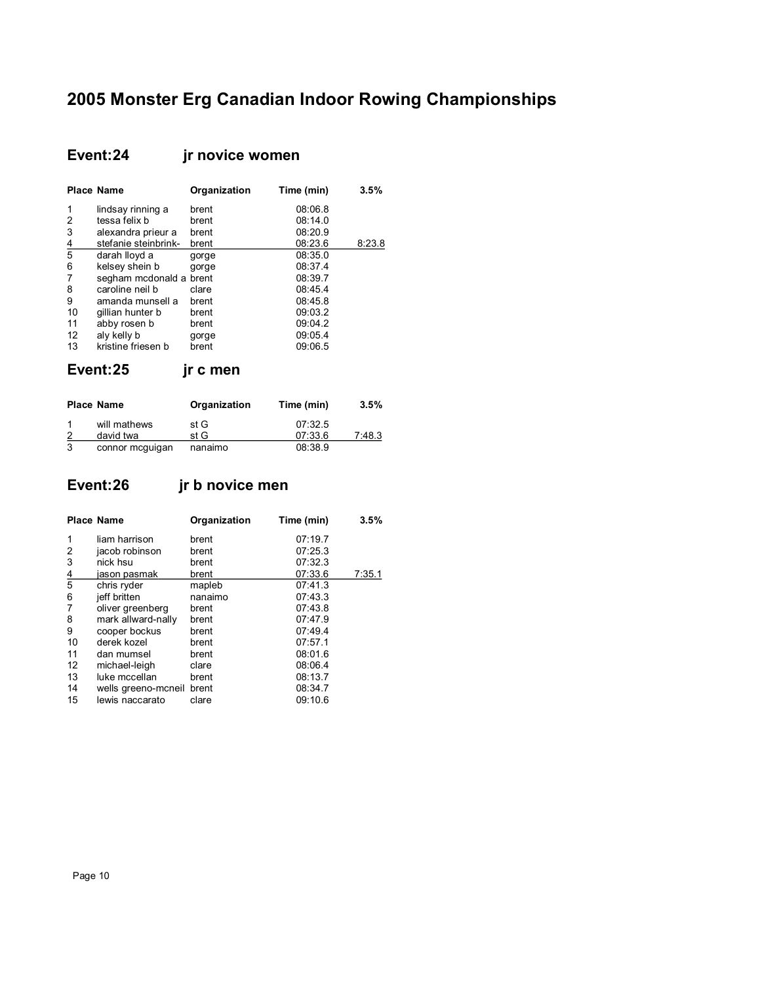## **Event:24 jr novice women**

|               | <b>Place Name</b>       | Organization | Time (min) | 3.5%   |
|---------------|-------------------------|--------------|------------|--------|
| 1             | lindsay rinning a       | brent        | 08:06.8    |        |
| 2             | tessa felix b           | brent        | 08:14.0    |        |
| 3             | alexandra prieur a      | brent        | 08:20.9    |        |
|               | stefanie steinbrink-    | brent        | 08:23.6    | 8:23.8 |
| $\frac{4}{5}$ | darah lloyd a           | gorge        | 08:35.0    |        |
| 6             | kelsey shein b          | gorge        | 08:37.4    |        |
| 7             | segham mcdonald a brent |              | 08:39.7    |        |
| 8             | caroline neil b         | clare        | 08:45.4    |        |
| 9             | amanda munsell a        | brent        | 08:45.8    |        |
| 10            | gillian hunter b        | brent        | 09:03.2    |        |
| 11            | abby rosen b            | brent        | 09:04.2    |        |
| 12            | aly kelly b             | gorge        | 09:05.4    |        |
| 13            | kristine friesen b      | brent        | 09:06.5    |        |

|   | <b>Place Name</b>         | Organization | Time (min)         | 3.5%   |
|---|---------------------------|--------------|--------------------|--------|
| 2 | will mathews<br>david twa | st G<br>st G | 07:32.5<br>07:33.6 | 7:48.3 |
| 3 | connor mcguigan           | nanaimo      | 08:38.9            |        |

## **Event:26 jr b novice men**

**Event:25 jr c men**

|               | <b>Place Name</b>         | Organization | Time (min) | 3.5%   |
|---------------|---------------------------|--------------|------------|--------|
| 1             | liam harrison             | brent        | 07:19.7    |        |
| 2             | jacob robinson            | brent        | 07:25.3    |        |
| 3             | nick hsu                  | brent        | 07:32.3    |        |
| $\frac{4}{5}$ | jason pasmak              | brent        | 07:33.6    | 7:35.1 |
|               | chris ryder               | mapleb       | 07:41.3    |        |
| 6             | jeff britten              | nanaimo      | 07:43.3    |        |
| 7             | oliver greenberg          | brent        | 07:43.8    |        |
| 8             | mark allward-nally        | brent        | 07:47.9    |        |
| 9             | cooper bockus             | brent        | 07:49.4    |        |
| 10            | derek kozel               | brent        | 07:57.1    |        |
| 11            | dan mumsel                | brent        | 08:01.6    |        |
| 12            | michael-leigh             | clare        | 08:06.4    |        |
| 13            | luke mccellan             | brent        | 08:13.7    |        |
| 14            | wells greeno-moneil brent |              | 08:34.7    |        |
| 15            | lewis naccarato           | clare        | 09:10.6    |        |